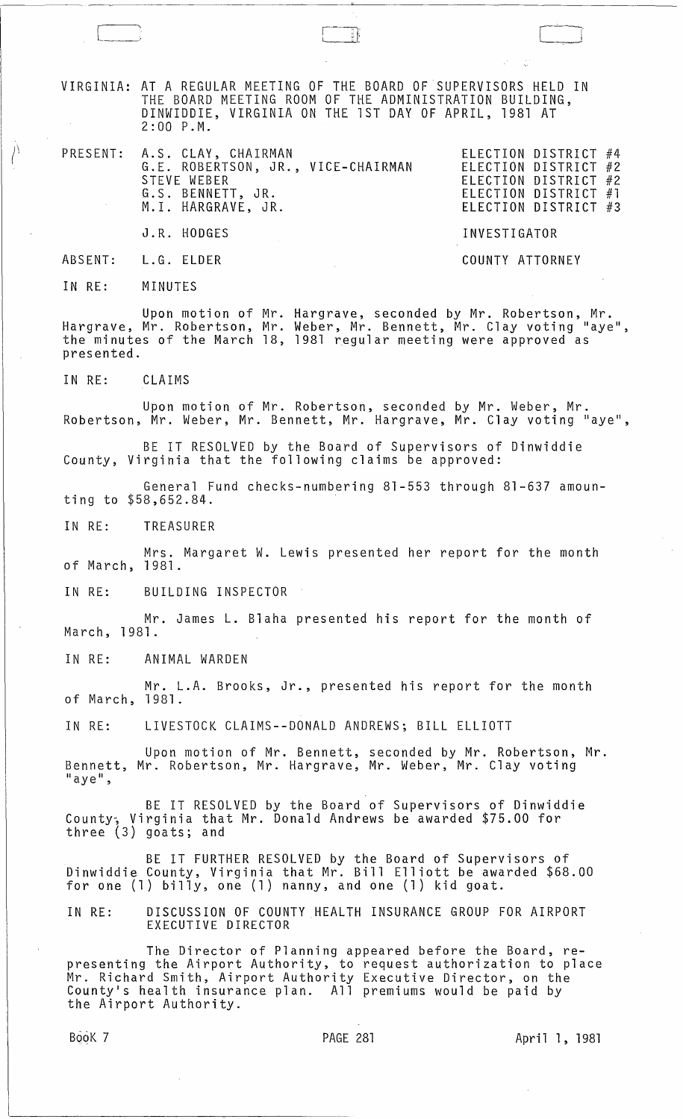VIRGINIA: AT A REGULAR MEETING OF THE BOARD OF SUPERVISORS HELD IN THE BOARD MEETING ROOM OF THE ADMINISTRATION BUILDING, DINWIDDIE, VIRGINIA ON THE 1ST DAY OF APRIL, 1981 AT 2:00 P.M.

 $\Box$ 

| PRESENT: A.S. CLAY, CHAIRMAN<br>G.E. ROBERTSON, JR., VICE-CHAIRMAN<br>STEVE WEBER<br>G.S. BENNETT, JR.<br>M.I. HARGRAVE, JR. | ELECTION DISTRICT #4<br>ELECTION DISTRICT #2<br>ELECTION DISTRICT #2<br>ELECTION DISTRICT #1<br>ELECTION DISTRICT #3 |
|------------------------------------------------------------------------------------------------------------------------------|----------------------------------------------------------------------------------------------------------------------|
| J.R. HODGES                                                                                                                  | INVESTIGATOR                                                                                                         |
| ABSENT: L.G. ELDER                                                                                                           | COUNTY ATTORNEY                                                                                                      |

IN RE: MINUTES

 $\langle \rangle$ 

Upon motion of Mr. Hargrave, seconded by Mr. Robertson, Mr. Hargrave, Mr. Robertson, Mr. Weber, Mr. Bennett, Mr. Clay voting "aye", the minutes of the March 18, 1981 ~egular meeting were approved as presented.

IN RE: CLAIMS

Upon motion of Mr. Robertson, seconded by Mr. Weber, Mr. Robertson, Mr. Weber, Mr. Bennett, Mr. Hargrave, Mr. Clay voting "aye",

BE IT RESOLVED by the Board of Supervisors of Dinwiddie County, Virginia that the following claims be approved:

General Fund checks-numbering 81-553 through 81-637 amounting to \$58,652.84.

IN RE: TREASURER

Mrs. Margaret W. Lewis presented her report for the month of March, 1981.

IN RE: BUILDING INSPECTOR

Mr. James L. Blaha presented his report for the month of March,1981.

IN RE: ANIMAL WARDEN

Mr. L.A. Brooks, Jr., presented his report for the month 1981. of March,

IN RE: LIVESTOCK CLAIMS--DONALD ANDREWS; BILL ELLIOTT

Upon motion of Mr. Bennett, seconded by Mr. Robertson, Mr. Bennett, Mr. Robertson, Mr. Hargrave, Mr. Weber, Mr. Clay voting<br>"aye",

BE IT RESOLVED by the Board of Supervisors of Dinwiddie County; Virginia that Mr. Donald Andrews be awarded \$75.00 for three (3) goats; and

BE IT FURTHER RESOLVED by the Board of Supervisors of Dinwiddie County, Virginia that Mr. Bill Elliott be awarded \$68.00 for one (1) billy, one (1) nanny, and one (1) kid goat.

IN RE: DISCUSSION OF COUNTY HEALTH INSURANCE GROUP FOR AIRPORT EXECUTIVE DIRECTOR

The Director of Planning appeared before the Board, representing the Airport Authority, to request authorization to place Mr. Richard Smith, Airport Authority Executive Director, on the County's health insurance plan. All premiums would be paid by the Airport Authority.

Book 7 PAGE 281 April 1, 1981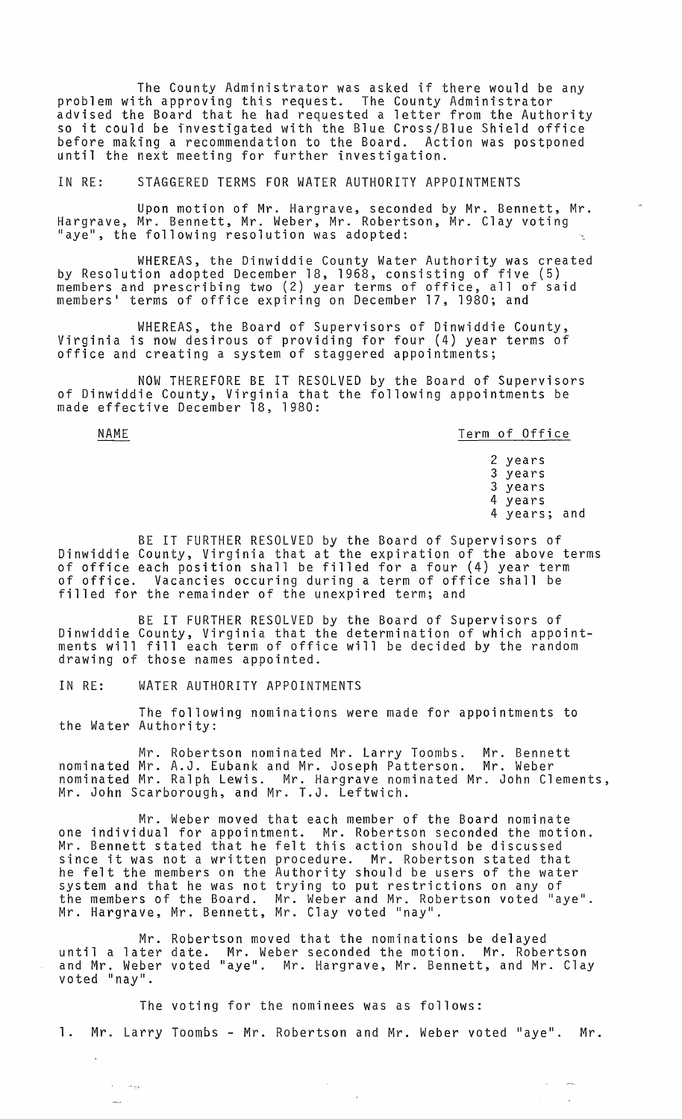The County Administrator was asked if there would be any problem with approving this request. The County Administrator advised the Board that he had requested a letter from the Authority so it could be investigated with the Blue Cross/Blue Shield office before making a recommendation to the Board. Action was postponed until the next meeting for further investigation.

## IN RE: STAGGERED TERMS FOR WATER AUTHORITY APPOINTMENTS

Upon motion of Mr. Hargrave, seconded by Mr. Bennett, Mr. Hargrave, Mr. Bennett, Mr. Weber, Mr. Robertson, Mr. Clay voting "aye", the following resolution was adopted:

WHEREAS, the Dinwiddie County Water Authority was created by Resolution adopted December 18, 1968, consisting of five (5) members and prescribing two (2) year terms of office, all of said members' terms of office expiring on December 17, 1980; and

WHEREAS, the Board of Supervisors of Dinwiddie County, Virginia is now desirous of providing for four (4) year terms of office and creating a system of staggered appointments;

NOW THEREFORE BE IT RESOLVED by the Board of Supervisors of Dinwiddie County, Virginia that the following appointments be made effective December 18, 1980:

NAME Term of Office

الوجيات المنافر  $\sim$ 

2 years 3 years 3 years 4 years 4 years; and

 $\sim$ 

والمستدر

BE IT FURTHER RESOLVED by the Board of Supervisors of Dinwiddie County, Virginia that at the expiration of the above terms of office each position shall be filled for a four (4) year term of office. Vacancies occuring during a term of office shall be filled for the remainder of the unexpired term; and

BE IT FURTHER RESOLVED by the Board of Supervisors of Dinwiddie County, Virginia that the determination of which appointments will fill each term of office will be decided by the random drawing of those names appointed.

IN RE: WATER AUTHORITY APPOINTMENTS

The following nominations were made for appointments to the Water Authority:

Mr. Robertson nominated Mr. Larry Toombs. Mr. Bennett nominated Mr. A.J. Eubank and Mr. Joseph Patterson. Mr. Weber nominated Mr. Ralph Lewis. Mr. Hargrave nominated Mr. John Clements, Mr. John Scarborough, and Mr. T.J. Leftwich.

Mr. Weber moved that each member of the Board nominate one individual for appointment. Mr. Robertson seconded the motion. Mr. Bennett stated that he felt this action should be discussed since it was not a written procedure. Mr. Robertson stated that he felt the members on the Authority should be users of the water system and that he was not trying to put restrictions on any of system and that he was not trying to put restrictions on any of<br>the members of the Board. Mr. Weber and Mr. Robertson voted "aye". Mr. Hargrave, Mr. Bennett, Mr. Clay voted "nay".

Mr. Robertson moved that the nominations be delayed until a later date. Mr. Weber seconded the motion. Mr. Robertson and Mr. Weber voted "aye". Mr. Hargrave, Mr. Bennett, and Mr. Clay voted "nay".

The voting for the nominees was as follows: 1. Mr. Larry Toombs - Mr. Robertson and Mr. Weber voted "aye". Mr.

 $\sim$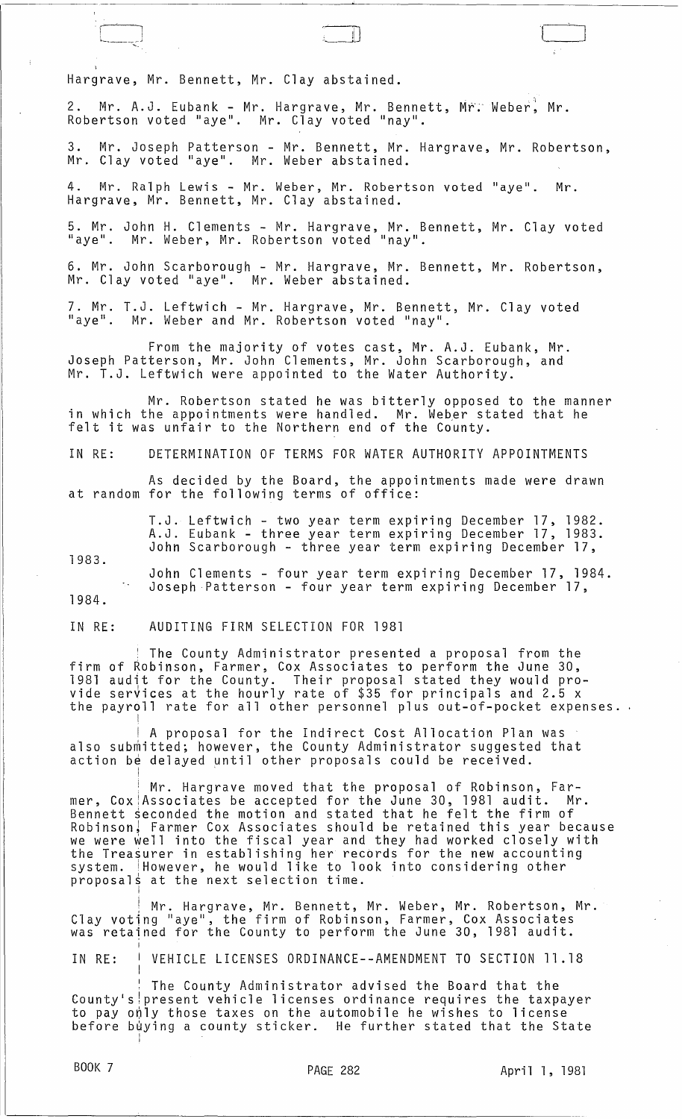Hargrave, Mr. Bennett, Mr. Clay abstained.

r , l . L..\_~ *\_\_\_\_* <sup>J</sup>

2. Mr. A.J. Eubank - Mr. Hargrave, Mr. Bennett, Mr. Weber, Mr. Robertson voted "aye". Mr. Cl̃ay voted "nay".

3. Mr. Joseph Patterson - Mr. Bennett, Mr. Hargrave, Mr. Robertson, Mr. Clay voted "aye". Mr. Weber abstained.

4. Mr. Ralph Lewis - Mr. Weber, Mr. Robertson voted "aye". Mr. Hargrave, Mr. Bennett, Mr. Clay abstained.

5. Mr. John H. Clements - Mr. Hargrave, Mr. Bennett, Mr. Clay voted "aye". Mr. Weber, Mr. Robertson voted "nay".

6. Mr. John Scarborough - Mr. Hargrave, Mr. Bennett, Mr. Robertson, Mr. Clay voted "aye". Mr. Weber abstained.

7. Mr. T.J. Leftwich - Mr. Hargrave, Mr. Bennett, Mr. Clay voted "aye". Mr. Weber and Mr. Robertson voted "nay".

From the majority of votes cast, Mr. A.J. Eubank, Mr. Joseph Patterson, Mr. John Clements, Mr. John Scarborough, and Mr. T.J. Leftwich were appointed to the Water Authority.

Mr. Robertson stated he was bitterly opposed to the manner in which the appointments were handled. Mr. Weber stated that he felt it was unfair to the Northern end of the County.

IN RE: DETERMINATION OF TERMS FOR WATER AUTHORITY APPOINTMENTS

As decided by the Board, the appointments made were drawn at random for the following terms of office:

> T.J. Leftwich - two year term expiring December 17, 1982. A.J. Eubank - three year term expiring December 17, 1983. John Scarborough - three year term expiring December 17,

1983.

I

!

I

I

I

I

1984. John Clements - four year term expiring December 17, 1984. Joseph Patterson - four year term expiring December 17,

IN RE: AUDITING FIRM SELECTION FOR 1981

<sup>I</sup>The County Administrator presented a proposal from the firm of Robinson, Farmer, Cox Associates to perform the June 30, 1981 audit for the County. Their proposal stated they would provide serVices at the hourly rate of \$35 for principals and 2.5 x the payroll rate for all other personnel plus out-of-pocket expenses.

 $\parallel$  A proposal for the Indirect Cost Allocation Plan was also submitted; however, the County Administrator suggested that action be delayed until other proposals could be received.

Mr. Hargrave moved that the proposal of Robinson, Farmer, Cox Associates be accepted for the June 30, 1981 audit. Mr. Bennett seconded the motion and stated that he felt the firm of Robinson~ Farmer Cox Associates should be retained this year because we were well into the fiscal year and they had worked closely with the Treasurer in establishing her records for the new accounting system. However, he would like to look into considering other proposals at the next selection time. <sup>I</sup>

! Mr. Hargrave, Mr. Bennett, Mr. Weber, Mr. Robertson, Mr. Clay voting "aye", the firm of Robinson, Farmer, Cox Associates vidy rooting ayy , one frim of hostmoon, runner, ook hostoclasse

IN RE: VEHICLE LICENSES ORDINANCE--AMENDMENT TO SECTION 11.18

The County Administrator advised the Board that the County's present vehicle licenses ordinance requires the taxpayer to pay only those taxes on the automobile he wishes to license before buying a county sticker. He further stated that the State